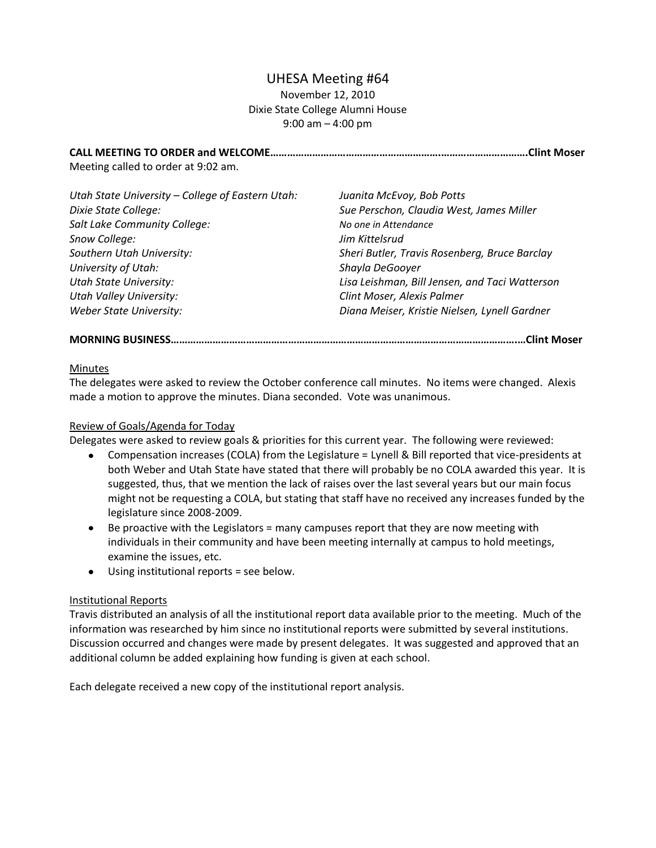# UHESA Meeting #64

November 12, 2010 Dixie State College Alumni House 9:00 am – 4:00 pm

**CALL MEETING TO ORDER and WELCOME…………………………………………………….………………………….Clint Moser** Meeting called to order at 9:02 am.

| Utah State University - College of Eastern Utah: | Juanita McEvoy, Bob Potts                      |
|--------------------------------------------------|------------------------------------------------|
| Dixie State College:                             | Sue Perschon, Claudia West, James Miller       |
| Salt Lake Community College:                     | No one in Attendance                           |
| Snow College:                                    | Jim Kittelsrud                                 |
| Southern Utah University:                        | Sheri Butler, Travis Rosenberg, Bruce Barclay  |
| University of Utah:                              | Shayla DeGooyer                                |
| <b>Utah State University:</b>                    | Lisa Leishman, Bill Jensen, and Taci Watterson |
| <b>Utah Valley University:</b>                   | Clint Moser, Alexis Palmer                     |
| Weber State University:                          | Diana Meiser, Kristie Nielsen, Lynell Gardner  |

### **MORNING BUSINESS…………………………………………………………………………………………………………….…Clint Moser**

#### Minutes

The delegates were asked to review the October conference call minutes. No items were changed. Alexis made a motion to approve the minutes. Diana seconded. Vote was unanimous.

#### Review of Goals/Agenda for Today

Delegates were asked to review goals & priorities for this current year. The following were reviewed:

- Compensation increases (COLA) from the Legislature = Lynell & Bill reported that vice-presidents at  $\bullet$ both Weber and Utah State have stated that there will probably be no COLA awarded this year. It is suggested, thus, that we mention the lack of raises over the last several years but our main focus might not be requesting a COLA, but stating that staff have no received any increases funded by the legislature since 2008-2009.
- Be proactive with the Legislators = many campuses report that they are now meeting with individuals in their community and have been meeting internally at campus to hold meetings, examine the issues, etc.
- Using institutional reports = see below.

### Institutional Reports

Travis distributed an analysis of all the institutional report data available prior to the meeting. Much of the information was researched by him since no institutional reports were submitted by several institutions. Discussion occurred and changes were made by present delegates. It was suggested and approved that an additional column be added explaining how funding is given at each school.

Each delegate received a new copy of the institutional report analysis.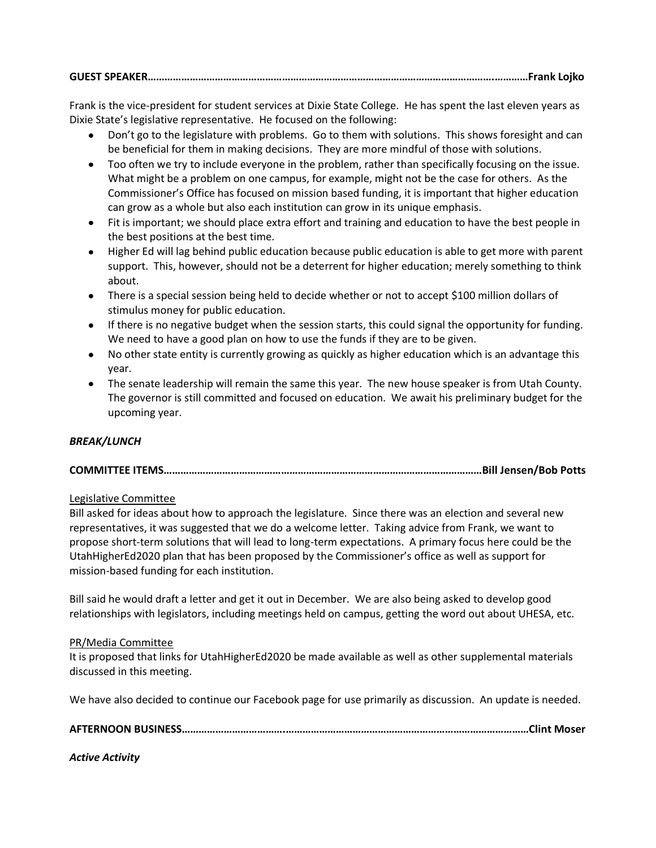|--|--|

Frank is the vice-president for student services at Dixie State College. He has spent the last eleven years as Dixie State's legislative representative. He focused on the following:

- Don't go to the legislature with problems. Go to them with solutions. This shows foresight and can be beneficial for them in making decisions. They are more mindful of those with solutions.
- Too often we try to include everyone in the problem, rather than specifically focusing on the issue. What might be a problem on one campus, for example, might not be the case for others. As the Commissioner's Office has focused on mission based funding, it is important that higher education can grow as a whole but also each institution can grow in its unique emphasis.
- Fit is important; we should place extra effort and training and education to have the best people in the best positions at the best time.
- Higher Ed will lag behind public education because public education is able to get more with parent support. This, however, should not be a deterrent for higher education; merely something to think about.
- There is a special session being held to decide whether or not to accept \$100 million dollars of stimulus money for public education.
- If there is no negative budget when the session starts, this could signal the opportunity for funding. We need to have a good plan on how to use the funds if they are to be given.
- No other state entity is currently growing as quickly as higher education which is an advantage this year.
- The senate leadership will remain the same this year. The new house speaker is from Utah County. The governor is still committed and focused on education. We await his preliminary budget for the upcoming year.

## *BREAK/LUNCH*

## **COMMITTEE ITEMS……………………………………………………………………………………………………Bill Jensen/Bob Potts**

### Legislative Committee

Bill asked for ideas about how to approach the legislature. Since there was an election and several new representatives, it was suggested that we do a welcome letter. Taking advice from Frank, we want to propose short-term solutions that will lead to long-term expectations. A primary focus here could be the UtahHigherEd2020 plan that has been proposed by the Commissioner's office as well as support for mission-based funding for each institution.

Bill said he would draft a letter and get it out in December. We are also being asked to develop good relationships with legislators, including meetings held on campus, getting the word out about UHESA, etc.

### PR/Media Committee

It is proposed that links for UtahHigherEd2020 be made available as well as other supplemental materials discussed in this meeting.

We have also decided to continue our Facebook page for use primarily as discussion. An update is needed.

**AFTERNOON BUSINESS……………………………….……………………………………………………………………………Clint Moser**

### *Active Activity*